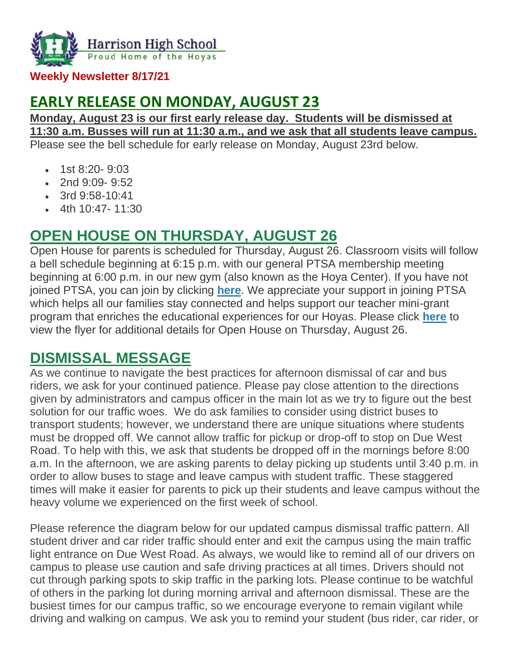

**Weekly Newsletter 8/17/21**

# **EARLY RELEASE ON MONDAY, AUGUST 23**

**Monday, August 23 is our first early release day. Students will be dismissed at 11:30 a.m. Busses will run at 11:30 a.m., and we ask that all students leave campus.** Please see the bell schedule for early release on Monday, August 23rd below.

- 1st 8:20- 9:03
- 2nd  $9:09 9:52$
- 3rd 9:58-10:41
- $\bullet$  4th 10:47-11:30

## **OPEN HOUSE ON THURSDAY, AUGUST 26**

Open House for parents is scheduled for Thursday, August 26. Classroom visits will follow a bell schedule beginning at 6:15 p.m. with our general PTSA membership meeting beginning at 6:00 p.m. in our new gym (also known as the Hoya Center). If you have not joined PTSA, you can join by clicking **[here](http://url503.cobbk12.org/ls/click?upn=kYpeu9rJVSU1acS4VG0V9dP8zXnygu7Up5qBE7usQ1gecV2TljFL8x98-2BlIBHTra483oT8HWv3BxbUy1y3g1Yb9ek7nNCXk6lG-2FBQRXGqe5cuM1PyYyBuD5z59ncIg8RQQcmz5GPI6C2rBrBOkHhk7SyCsgoy6sCPyGPwYo-2F-2Fl0PTHubx8Ep8uNFyBxj7bRgOjpEiPvDZTjAOUxD3-2FxNJt6lgmZ3XPYFkZ8sBvCK-2B-2BFqN6uISZJh0YN-2B3wfkRQXTYhgmV1iw7p4elg-2FOv-2BmU1vWJ-2BlC7Aj8qgJ6I6FOn4mXD5Rrd-2B7Dgy2AxhrU7kI4R7yiisaFUXFL-2BScqpOKfgeIH95ELnkjwtNYRXlJYDk60RlyNmiRMCaTVPCyrU-2BU2cnxcjk3M0RsJxaRO3tq2Ugbj2BBPp8JFJp8UzOaJQJm99bvSHIfPii8njCDFJ-2FuuYNRoYktMmNFLtlFaica21l-2FR-2BgwP6rTCIs0fuQMfVE0oMpy5jCLoLNixzR57wgp1r9pvoRCU7X-2Bskry3Bb78x4WhSfotXbytFEwFqiQ40JcE-3DiBkU_W-2BfLYUoUwwI1tuGClKRhhPOSepcZIFoXnUIMjiA717kQ1i13BNQTwwJ9cl-2BWArXrjMDzmdYDAz26vF1M-2BNMQlmuA1ej7Q-2BOJeCFpa-2Bfz6gIRNck8sTkDNsQSKyG0AeqeZYvx6BBxadJE95I2fqlhjRodwbH8SUUChiKDg7vh2VAlC5Io6kwvOwTELxkuRt7ph7dA-2FZU7aUUzaRTvqrzSEDhGhP73sAEQ1rKoNafAg9biKkIQeFT-2Fe04wRSV2C030K3F2mZ1xDjnB85BuQ-2BFcLA-3D-3D)**. We appreciate your support in joining PTSA which helps all our families stay connected and helps support our teacher mini-grant program that enriches the educational experiences for our Hoyas. Please click **[here](http://url503.cobbk12.org/ls/click?upn=lifxRKNE4qaF4JWLXkbAsjh7ycX9GyI4V6qRbFFivNpp-2B3syQ-2BF1CRoHOrZqfnEtQcfUXEzQ4WYketaNTGV34zs3jL5MGsQrXE2TLz8iLkM1gHcjbLjdTIy1LlJIK51n2uPQaZJZd-2FyK2tXtdzyYzg-3D-3DAIv4_W-2BfLYUoUwwI1tuGClKRhhPOSepcZIFoXnUIMjiA717kQ1i13BNQTwwJ9cl-2BWArXrjMDzmdYDAz26vF1M-2BNMQlmuA1ej7Q-2BOJeCFpa-2Bfz6gIRNck8sTkDNsQSKyG0AeqexCObAUyEmvi6vvP4AOb6XYPsU5SkZl5silsvcGoCMehNjkOZ5udlB0LYpO5CrFilPbqyy-2FGT1QMwccsT-2B94C3LK3oKtgaGA-2FZPuz3-2BVucLNChwNK7SA8vsK5dgZ6S3MLO4jjKFw2-2FPQtfHkyn4fEGg-3D-3D)** to view the flyer for additional details for Open House on Thursday, August 26.

## **DISMISSAL MESSAGE**

As we continue to navigate the best practices for afternoon dismissal of car and bus riders, we ask for your continued patience. Please pay close attention to the directions given by administrators and campus officer in the main lot as we try to figure out the best solution for our traffic woes. We do ask families to consider using district buses to transport students; however, we understand there are unique situations where students must be dropped off. We cannot allow traffic for pickup or drop-off to stop on Due West Road. To help with this, we ask that students be dropped off in the mornings before 8:00 a.m. In the afternoon, we are asking parents to delay picking up students until 3:40 p.m. in order to allow buses to stage and leave campus with student traffic. These staggered times will make it easier for parents to pick up their students and leave campus without the heavy volume we experienced on the first week of school.

Please reference the diagram below for our updated campus dismissal traffic pattern. All student driver and car rider traffic should enter and exit the campus using the main traffic light entrance on Due West Road. As always, we would like to remind all of our drivers on campus to please use caution and safe driving practices at all times. Drivers should not cut through parking spots to skip traffic in the parking lots. Please continue to be watchful of others in the parking lot during morning arrival and afternoon dismissal. These are the busiest times for our campus traffic, so we encourage everyone to remain vigilant while driving and walking on campus. We ask you to remind your student (bus rider, car rider, or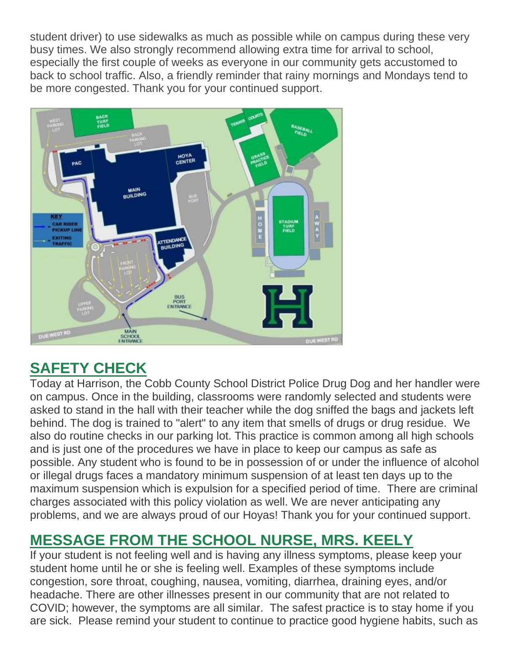student driver) to use sidewalks as much as possible while on campus during these very busy times. We also strongly recommend allowing extra time for arrival to school, especially the first couple of weeks as everyone in our community gets accustomed to back to school traffic. Also, a friendly reminder that rainy mornings and Mondays tend to be more congested. Thank you for your continued support.



# **SAFETY CHECK**

Today at Harrison, the Cobb County School District Police Drug Dog and her handler were on campus. Once in the building, classrooms were randomly selected and students were asked to stand in the hall with their teacher while the dog sniffed the bags and jackets left behind. The dog is trained to "alert" to any item that smells of drugs or drug residue. We also do routine checks in our parking lot. This practice is common among all high schools and is just one of the procedures we have in place to keep our campus as safe as possible. Any student who is found to be in possession of or under the influence of alcohol or illegal drugs faces a mandatory minimum suspension of at least ten days up to the maximum suspension which is expulsion for a specified period of time. There are criminal charges associated with this policy violation as well. We are never anticipating any problems, and we are always proud of our Hoyas! Thank you for your continued support.

# **MESSAGE FROM THE SCHOOL NURSE, MRS. KEELY**

If your student is not feeling well and is having any illness symptoms, please keep your student home until he or she is feeling well. Examples of these symptoms include congestion, sore throat, coughing, nausea, vomiting, diarrhea, draining eyes, and/or headache. There are other illnesses present in our community that are not related to COVID; however, the symptoms are all similar. The safest practice is to stay home if you are sick. Please remind your student to continue to practice good hygiene habits, such as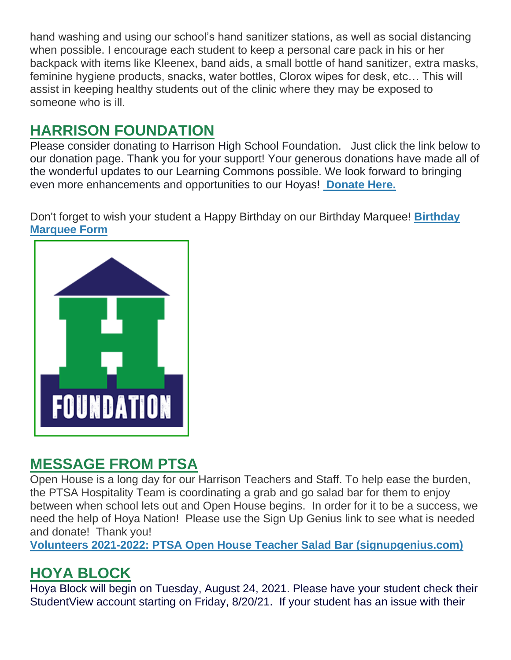hand washing and using our school's hand sanitizer stations, as well as social distancing when possible. I encourage each student to keep a personal care pack in his or her backpack with items like Kleenex, band aids, a small bottle of hand sanitizer, extra masks, feminine hygiene products, snacks, water bottles, Clorox wipes for desk, etc… This will assist in keeping healthy students out of the clinic where they may be exposed to someone who is ill.

# **HARRISON FOUNDATION**

Please consider donating to Harrison High School Foundation. Just click the link below to our donation page. Thank you for your support! Your generous donations have made all of the wonderful updates to our Learning Commons possible. We look forward to bringing even more enhancements and opportunities to our Hoyas! **[Donate Here.](http://url503.cobbk12.org/ls/click?upn=Q-2BKaVIKfS2AqG1NntRWXIuucmBLXHt0VTW51eWbEyXA9vECQY59-2B780kb-2FbreNPOEKe8lsI4uWP1Ku4nVNI6n9ZM-2Bf6t8k2Mf60kGEl-2BbB6n-2Bcw5TNbA1LOGstYOS0LuCZVTkfICdBZjtkBUUiJMf5XkmYZMQKWt7xXjslumnkcAJMCLQEclgUwqjiYMyN3-2FRHHaTAekXZpbW4gR3l4eo1kFOLd-2FxeBPLFOQz6H8viVWYuSSTnSg2Ujd1KIxs4frbqRWBdvhKUjNFTzHnuuVXtpUBgfMaZFGc1HrcbaqeORqBPRhDAxwktdpUOMlxk-2B9CEMU-2BK6J3OoueRbBluxh-2BIlHnXLF5fvUM3GJ-2B6UQR9YCPwImSqabB7d9HLmQlBJuhghhHAD1N7m8BEd0mmaTzHrDE6rG4vlXbE-2B32Fd-2B2bHRByO3-2Bp-2B3Q1PjoiD8h3qubaJQdI-2BhGjgkumhEEycAPQ-3D-3Dkloj_W-2BfLYUoUwwI1tuGClKRhhPOSepcZIFoXnUIMjiA717kQ1i13BNQTwwJ9cl-2BWArXrjMDzmdYDAz26vF1M-2BNMQlmuA1ej7Q-2BOJeCFpa-2Bfz6gIRNck8sTkDNsQSKyG0Aeqe9esgo4ECjPMl9TMP37yW-2BCiuLUlLrjsn-2B1AYupp8uvom3ru9IJkm6DVxJWTsWoqvTGhNWsz8O3NOjuM0zydEVBv-2FQZAYZPbsvm6xRF4ULRTQW9HLgdAv6d5ZRhcP5oJlciAl3A-2FkALcFpKffD4mQ2A-3D-3D)**

Don't forget to wish your student a Happy Birthday on our Birthday Marquee! **[Birthday](http://url503.cobbk12.org/ls/click?upn=Q-2BKaVIKfS2AqG1NntRWXIuucmBLXHt0VTW51eWbEyXA9vECQY59-2B780kb-2FbreNPOEKe8lsI4uWP1Ku4nVNI6n9ZM-2Bf6t8k2Mf60kGEl-2BbB6n-2Bcw5TNbA1LOGstYOS0LuCZVTkfICdBZjtkBUUiJMf5XkmYZMQKWt7xXjslumnkcAJMCLQEclgUwqjiYMyN3-2FRHHaTAekXZpbW4gR3l4eo1kFOLd-2FxeBPLFOQz6H8viVWYuSSTnSg2Ujd1KIxs4frbqRWBdvhKUjNFTzHnuuVXtpUBgfMaZFGc1HrcbaqeORqBPRhDAxwktdpUOMlxk-2B9CEMU-2BK6J3OoueRbBluxh-2BIlHnXLF5fvUM3GJ-2B6UQR9YCPwImSqabB7d9HLmQlBJuhghhHAD1N7m8BEd0mmaTzHrDE6rG4vlXbE-2B32Fd-2B2bHRByO3-2Bp-2B3Q1PjoiD8h3qubaJQdI-2BhGjgkumhEEycAPQ-3D-3Dj7PZ_W-2BfLYUoUwwI1tuGClKRhhPOSepcZIFoXnUIMjiA717kQ1i13BNQTwwJ9cl-2BWArXrjMDzmdYDAz26vF1M-2BNMQlmuA1ej7Q-2BOJeCFpa-2Bfz6gIRNck8sTkDNsQSKyG0AeqeNbf2JLSvy2AobQ5s3XxjMK3yYtZDg12QYuqeHGMNHoO2OXCFVE5x1xDiPmvzaw7VVaj4WukQBqbQTArsDmmFBB-2FpoYj5Q2PLFLw4Hu3OdcLQuONSPlQXwUdIlLD-2BTeFhHy0Gd-2Ba4fxZUF-2BuNpXuU5Q-3D-3D)  [Marquee Form](http://url503.cobbk12.org/ls/click?upn=Q-2BKaVIKfS2AqG1NntRWXIuucmBLXHt0VTW51eWbEyXA9vECQY59-2B780kb-2FbreNPOEKe8lsI4uWP1Ku4nVNI6n9ZM-2Bf6t8k2Mf60kGEl-2BbB6n-2Bcw5TNbA1LOGstYOS0LuCZVTkfICdBZjtkBUUiJMf5XkmYZMQKWt7xXjslumnkcAJMCLQEclgUwqjiYMyN3-2FRHHaTAekXZpbW4gR3l4eo1kFOLd-2FxeBPLFOQz6H8viVWYuSSTnSg2Ujd1KIxs4frbqRWBdvhKUjNFTzHnuuVXtpUBgfMaZFGc1HrcbaqeORqBPRhDAxwktdpUOMlxk-2B9CEMU-2BK6J3OoueRbBluxh-2BIlHnXLF5fvUM3GJ-2B6UQR9YCPwImSqabB7d9HLmQlBJuhghhHAD1N7m8BEd0mmaTzHrDE6rG4vlXbE-2B32Fd-2B2bHRByO3-2Bp-2B3Q1PjoiD8h3qubaJQdI-2BhGjgkumhEEycAPQ-3D-3Dj7PZ_W-2BfLYUoUwwI1tuGClKRhhPOSepcZIFoXnUIMjiA717kQ1i13BNQTwwJ9cl-2BWArXrjMDzmdYDAz26vF1M-2BNMQlmuA1ej7Q-2BOJeCFpa-2Bfz6gIRNck8sTkDNsQSKyG0AeqeNbf2JLSvy2AobQ5s3XxjMK3yYtZDg12QYuqeHGMNHoO2OXCFVE5x1xDiPmvzaw7VVaj4WukQBqbQTArsDmmFBB-2FpoYj5Q2PLFLw4Hu3OdcLQuONSPlQXwUdIlLD-2BTeFhHy0Gd-2Ba4fxZUF-2BuNpXuU5Q-3D-3D)**



### **MESSAGE FROM PTSA**

Open House is a long day for our Harrison Teachers and Staff. To help ease the burden, the PTSA Hospitality Team is coordinating a grab and go salad bar for them to enjoy between when school lets out and Open House begins. In order for it to be a success, we need the help of Hoya Nation! Please use the Sign Up Genius link to see what is needed and donate! Thank you!

**[Volunteers 2021-2022: PTSA Open House Teacher Salad Bar \(signupgenius.com\)](http://url503.cobbk12.org/ls/click?upn=Q-2BKaVIKfS2AqG1NntRWXIqe3VLrAF6HtQZXW1Eop37-2BHD1-2FJeBI8RcsNCzxppcBz0DlAzN5HVHa4jFBsYhEq-2FTtx4F3uDw8i0Et4Ko14jOyvmI1H-2BAf5gG-2FKDqhzv-2BKLCWwno-2FakN55PshkPrF06wmC6mPfS2hi0Z5h9WmRcCXgIFHoxpCOEooHH7Z8QQLNVKU42G5ZzZVDodx3cLm3CsfKxNRSV2GM-2BCyB6aSn2YGBq01T3uwBTo5MgH2nBr9uRjgO-2Bc8diElvbkGgj-2B-2BPB4Nk-2BY-2FEyRVqf4aJFEY-2Fi82hCRX-2BWznhkmqXU5ErOGJQGnwBVxhtXEDv7spSenGS4NDBensm4Gm5aohCgcbSg8hDmDT-2Fzel0zoDJ7DIo4nAjBYgesQ-2BNiR1uWfHPRfmM-2FA76ZHgW882t4O8mpCaZD7bdJqkB1loy3nLMTpyOx9cq47oLx5YgH26PJvMYVuAWyXzsbEXeQBv3LJkIDGRonBvsaO-2BDuatIxwNmh6D2TZSvI-2B5zEIWP9nGzRIKS38CeoGG9DmWkiVIjBOlyQ8GAfVCMXAse5nYoXG0kpjgewACNYp9c4lye-2Fjr5f9Xc8X-2FdYEQ-3D-3D2g3M_W-2BfLYUoUwwI1tuGClKRhhPOSepcZIFoXnUIMjiA717kQ1i13BNQTwwJ9cl-2BWArXrjMDzmdYDAz26vF1M-2BNMQlmuA1ej7Q-2BOJeCFpa-2Bfz6gIRNck8sTkDNsQSKyG0Aeqeav8TOw2u11EJnMSKFsDmxGT2D37p-2BptlXA6cXymp99-2Bu41cnrEhD4-2B0RmV-2BnicdwYQcMzTD5rqLA7IGy0L9702WCoq6eLZa12bGsqYhgc5RdxSHq6yvj4mPI04HiII6xOv4VovWHQcx3VcCV4bhDAA-3D-3D)**

## **HOYA BLOCK**

Hoya Block will begin on Tuesday, August 24, 2021. Please have your student check their StudentView account starting on Friday, 8/20/21. If your student has an issue with their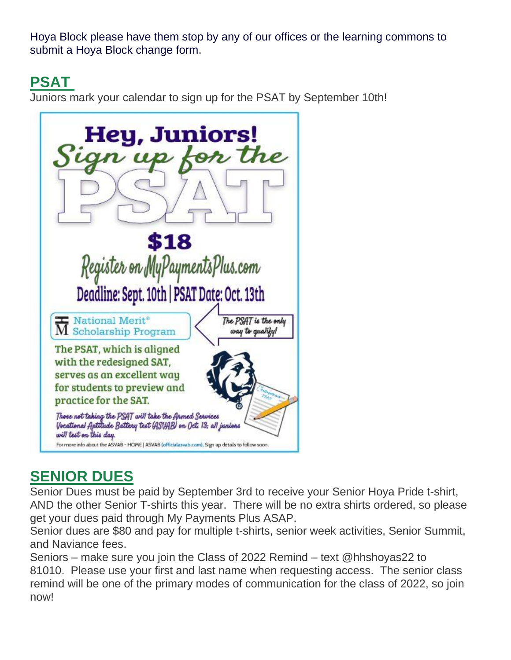Hoya Block please have them stop by any of our offices or the learning commons to submit a Hoya Block change form.

### **PSAT**

Juniors mark your calendar to sign up for the PSAT by September 10th!



## **SENIOR DUES**

Senior Dues must be paid by September 3rd to receive your Senior Hoya Pride t-shirt, AND the other Senior T-shirts this year. There will be no extra shirts ordered, so please get your dues paid through My Payments Plus ASAP.

Senior dues are \$80 and pay for multiple t-shirts, senior week activities, Senior Summit, and Naviance fees.

Seniors – make sure you join the Class of 2022 Remind – text @hhshoyas22 to 81010. Please use your first and last name when requesting access. The senior class remind will be one of the primary modes of communication for the class of 2022, so join now!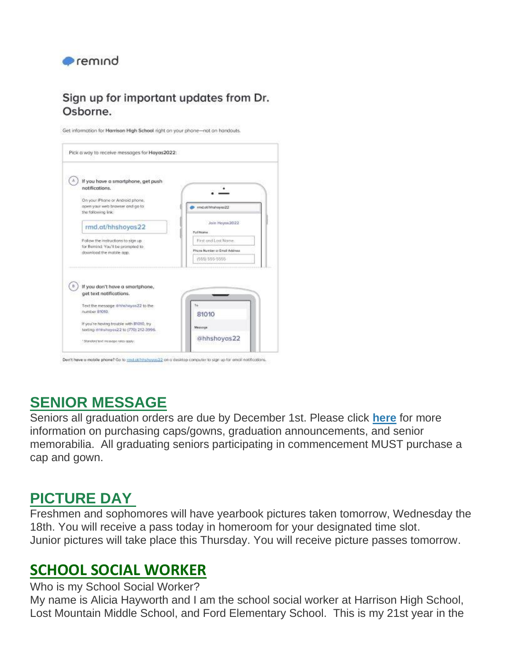

### Sign up for important updates from Dr. Osborne.

Get information for Harrison High School right on your phone-not on handouts.



Den't have a mobile phone? Go to mid othirshown 22 on a desidap computer to sign up for email natifications.

## **SENIOR MESSAGE**

Seniors all graduation orders are due by December 1st. Please click **[here](http://url503.cobbk12.org/ls/click?upn=oq5wnnHoD1NAxpT8rNAGXO9pgQjsMrFEdSeXOUfDN1S9pbwfVav-2Fwcqh9gKsbZ62KgvIeDQn0ZGAwcWbaJXdBcyho3FBGR28pXTVzbk67cA-3D4Hft_W-2BfLYUoUwwI1tuGClKRhhPOSepcZIFoXnUIMjiA717kQ1i13BNQTwwJ9cl-2BWArXrjMDzmdYDAz26vF1M-2BNMQlmuA1ej7Q-2BOJeCFpa-2Bfz6gIRNck8sTkDNsQSKyG0AeqeVoIPhTDmzBDbTFNu-2BObgUbgdF2qI3er62vcFCVYIvAYkbIrbkWkwcxrhI8IUmUZxrgpiPkHlGF5jGTK4UpxtB6U66XlkkeO0MGVK1eb0BsXYCyTKII6IaeqY7iNwP98scGMleCHjHYiM-2Fb-2Ffdvjxiw-3D-3D)** for more information on purchasing caps/gowns, graduation announcements, and senior memorabilia. All graduating seniors participating in commencement MUST purchase a cap and gown.

## **PICTURE DAY**

Freshmen and sophomores will have yearbook pictures taken tomorrow, Wednesday the 18th. You will receive a pass today in homeroom for your designated time slot. Junior pictures will take place this Thursday. You will receive picture passes tomorrow.

### **SCHOOL SOCIAL WORKER**

Who is my School Social Worker?

My name is Alicia Hayworth and I am the school social worker at Harrison High School, Lost Mountain Middle School, and Ford Elementary School. This is my 21st year in the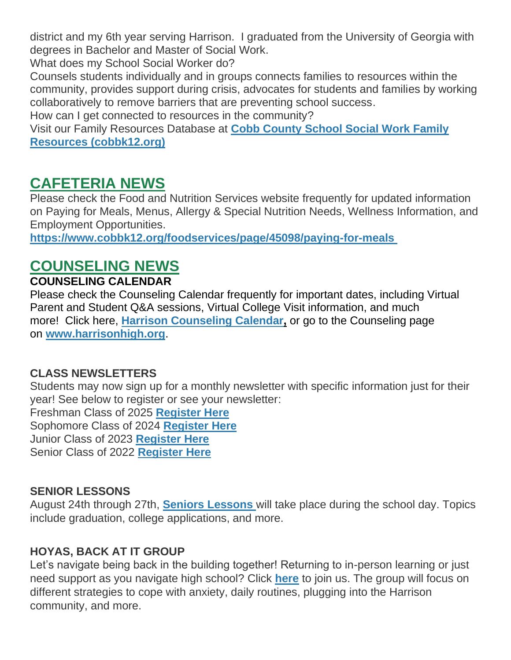district and my 6th year serving Harrison. I graduated from the University of Georgia with degrees in Bachelor and Master of Social Work.

What does my School Social Worker do?

Counsels students individually and in groups connects families to resources within the community, provides support during crisis, advocates for students and families by working collaboratively to remove barriers that are preventing school success.

How can I get connected to resources in the community?

Visit our Family Resources Database at **[Cobb County School Social Work Family](http://url503.cobbk12.org/ls/click?upn=oq5wnnHoD1NAxpT8rNAGXLeSSs2oqQ-2BhsGA3S2Aoidmz-2B7OaFU58f0-2FcZrjxUI5SW89VV8ofs0TP7-2B1A8wnqe2QvR3ML4g-2BXI0ayos9h9WorzM0rs6Pue2qpLXJ-2BY7wlb3m7_W-2BfLYUoUwwI1tuGClKRhhPOSepcZIFoXnUIMjiA717kQ1i13BNQTwwJ9cl-2BWArXrjMDzmdYDAz26vF1M-2BNMQlmuA1ej7Q-2BOJeCFpa-2Bfz6gIRNck8sTkDNsQSKyG0AeqeYcWPXloLRzD-2B2hBhVvCvGNKhYqqgc72kqVHU1E5vphjgyXtz2YJmX-2FzkF0Vq-2ByB7EgTgMjHPRmoKaDcAwuoudMbdbnvDisfVIlOCwJZsSXEOe7Ps0UvMBp-2BnCDZxkhAMj9sZBCVoqRXl9OG6SbIWSw-3D-3D)  [Resources \(cobbk12.org\)](http://url503.cobbk12.org/ls/click?upn=oq5wnnHoD1NAxpT8rNAGXLeSSs2oqQ-2BhsGA3S2Aoidmz-2B7OaFU58f0-2FcZrjxUI5SW89VV8ofs0TP7-2B1A8wnqe2QvR3ML4g-2BXI0ayos9h9WorzM0rs6Pue2qpLXJ-2BY7wlb3m7_W-2BfLYUoUwwI1tuGClKRhhPOSepcZIFoXnUIMjiA717kQ1i13BNQTwwJ9cl-2BWArXrjMDzmdYDAz26vF1M-2BNMQlmuA1ej7Q-2BOJeCFpa-2Bfz6gIRNck8sTkDNsQSKyG0AeqeYcWPXloLRzD-2B2hBhVvCvGNKhYqqgc72kqVHU1E5vphjgyXtz2YJmX-2FzkF0Vq-2ByB7EgTgMjHPRmoKaDcAwuoudMbdbnvDisfVIlOCwJZsSXEOe7Ps0UvMBp-2BnCDZxkhAMj9sZBCVoqRXl9OG6SbIWSw-3D-3D)**

### **CAFETERIA NEWS**

Please check the Food and Nutrition Services website frequently for updated information on Paying for Meals, Menus, Allergy & Special Nutrition Needs, Wellness Information, and Employment Opportunities.

**[https://www.cobbk12.org/foodservices/page/45098/paying-for-meals](http://url503.cobbk12.org/ls/click?upn=oq5wnnHoD1NAxpT8rNAGXIgEcF6cFUXUYIe-2B8AO3LVyx4t4OJsNWVhu0iEI2j90fBOcAAqhr4f3pHktzPZuYg83p0mcu7zlRbWoKDhAG9jg-3DzjNK_W-2BfLYUoUwwI1tuGClKRhhPOSepcZIFoXnUIMjiA717kQ1i13BNQTwwJ9cl-2BWArXrjMDzmdYDAz26vF1M-2BNMQlmuA1ej7Q-2BOJeCFpa-2Bfz6gIRNck8sTkDNsQSKyG0AeqeNfge8V7kKcTE65-2BnyI-2BtPtJ9punV9uAudNApAY3awBs6Tn0D4ZUf86lTXreLQN9txm0j-2F-2F7dG9nxOsRTxqN9zOYObpSTGCZUtNocy35UJ-2BaaaUy41m4mPcqeYXAhBMzARds-2BgJba7tgd6LGOpqeRAg-3D-3D)**

## **COUNSELING NEWS**

#### **COUNSELING CALENDAR**

Please check the Counseling Calendar frequently for important dates, including Virtual Parent and Student Q&A sessions, Virtual College Visit information, and much more! Click here, **[Harrison Counseling Calendar,](http://url503.cobbk12.org/ls/click?upn=G8An3K6JlHsR8QtKBFuzdoB1znjZkDc3Km2Sgf1PHVpycz16KMZXgXgxh3dcC-2FS8NJmdhIjRhMEVOdXvIran0PoO612nc8dPRxDRKmrySvOyPaCPkwQVxnm5P9WY4kGuByjjBLs9jX8AnVcQz2F0xdPJWUq-2BTqmbYJsClRyFwEgRo9BS-2BibqsB2DQhPPMblVQQmQ_W-2BfLYUoUwwI1tuGClKRhhPOSepcZIFoXnUIMjiA717kQ1i13BNQTwwJ9cl-2BWArXrjMDzmdYDAz26vF1M-2BNMQlmuA1ej7Q-2BOJeCFpa-2Bfz6gIRNck8sTkDNsQSKyG0AeqeHBSBb7Z1BKKCTs5mPYat4GzAwLNrx2SrCOI6Tn0pP0agiBWbJ2ZE68B41W8K1h5D9eMZmqt7jaN3ROfYdirR3KZbfNa1jmdzA9XQZUjemBEm3lMdPjBOM58KqUIsjpS5-2B1mJFYj4a7zXAp5fxqT0Tw-3D-3D)** or go to the Counseling page on **[www.harrisonhigh.org](http://url503.cobbk12.org/ls/click?upn=oq5wnnHoD1NAxpT8rNAGXO9pgQjsMrFEdSeXOUfDN1SmFc2KsGzpApGt0h4W-2BnTi3qOMFT0pAhpU4g9jzi2oghIA-2BD5qxCmArcny4yPncCY-3DdbdP_W-2BfLYUoUwwI1tuGClKRhhPOSepcZIFoXnUIMjiA717kQ1i13BNQTwwJ9cl-2BWArXrjMDzmdYDAz26vF1M-2BNMQlmuA1ej7Q-2BOJeCFpa-2Bfz6gIRNck8sTkDNsQSKyG0Aeqe-2B9LqRq5-2F6eyzntv4Sb9zCNPKKzsCrpVQ24uk34i9jlp6z7j5AqWo7KAC84hUh-2FFKHVUb9CH17CqpyZbG4U-2FHlnE13qdBQWnHPHltOmJW2RsFjM6XhP-2BV7Ins9wVsnmEV2pFaKIQckcwTnJSZNvAWxg-3D-3D)**.

#### **CLASS NEWSLETTERS**

Students may now sign up for a monthly newsletter with specific information just for their year! See below to register or see your newsletter:

Freshman Class of 2025 **[Register Here](http://url503.cobbk12.org/ls/click?upn=rfjFiJL3jF6tL7pUtbS6p6Gs-2BZXv32PNrjNR-2B6hj3gNFf-2BUZsNji6L7KRr9mjfBhqDPhQUW0eG0Gzln-2F1r8L8JS4t4E9l4p-2FxR-2F4htJ7GCdVPScPkMyWS8MlrLjTEheFmBW9w3COaMd9FC1zcNYoMPZFvdQ1LRWPcLCOMbKupfdB-2FXkrOPELxoqgzkzu-2BhkDSFIYqNjhH9pZ2DVDdvSLwuYJsa-2B-2B0q7AO5BQH92pbbOQQop0F3jgzG97-2FS3FXFuxd48jnQgd5Oy3b-2BlsGko8zhBQqDME0TgyKRqSzhtftSGlyshCffKz9ia-2BFQDZTEGWD7I6i6yt-2FsGB5UkbdfQ3M-2BVTz-2Fb-2FWLh1yZ08e5GIihsmtHTfSgIm5HdcEHzZy0xOWNVYlaAHQZvYa9ZRe1g7pDhnMFNl1xsdJvpIKZW1mASdqxBCJSoJaXzg5Cxh7hqbb-2FQZbjke9Dw3kAvq-2BIkfr0mOuxPjlrcI9d9EdOBpko7JX9JLVO7C2v5WF-2FvKwVF4TlsRxysdwLpSeNlokEfLC4MutkSbxo1srw-2FYsh3jDo0-3DEaaB_W-2BfLYUoUwwI1tuGClKRhhPOSepcZIFoXnUIMjiA717kQ1i13BNQTwwJ9cl-2BWArXrjMDzmdYDAz26vF1M-2BNMQlmuA1ej7Q-2BOJeCFpa-2Bfz6gIRNck8sTkDNsQSKyG0AeqeeE1tDHi6odWQgVfhVBZDusKGbNIXBSFdfB7Fhnhg-2BRQiOzD2yp5WLsvNwCjIjW-2FjQJtotwDQhTFZtFI1OqAIzAVB7kRmRy7ogvmaEuwJ18emilQDrjlMz3W6GWX1wp7uCZtddZks03pvusZ3dB5Tkg-3D-3D)** Sophomore Class of 2024 **[Register Here](http://url503.cobbk12.org/ls/click?upn=HU5K2q0Fz5ADTGboxPzOzV-2FXL0qE7BYVJk79MoYchrauedMvYHudRAftRA00KPmFHZOLKRfgjsRXY-2BcHASSl312-2FI8XajR6tsunOTcP2YhE-3DpvJx_W-2BfLYUoUwwI1tuGClKRhhPOSepcZIFoXnUIMjiA717kQ1i13BNQTwwJ9cl-2BWArXrjMDzmdYDAz26vF1M-2BNMQlmuA1ej7Q-2BOJeCFpa-2Bfz6gIRNck8sTkDNsQSKyG0AeqeWRqNqvKl7De6-2FuaZD23VZDzuIpHndsrX91agerImbLUHS7bNXxoHH9G2YGmhUL62zUtkmvs7QAxj2Y2r6nu8EJP-2B87d1Vpt8itxucv3G0U2BrvoK-2FfIwaRnyI3pzAwEWSt5fIRaIilTx30WpYXU-2Big-3D-3D)** Junior Class of 2023 **[Register Here](http://url503.cobbk12.org/ls/click?upn=HU5K2q0Fz5ADTGboxPzOzc-2FmDrLeRPv-2F5f6cytuJSxI0trpBiz9UDAwo-2Bcb69f-2BotMmx4AwlG5hn6eMqzvsNDsYVvUofQRcF3tP7lqOzjVNqfGZzo2pBbv9178J2dZt2supnlVwvxbV-2B2CZdWNWDsw-3D-3DzHEI_W-2BfLYUoUwwI1tuGClKRhhPOSepcZIFoXnUIMjiA717kQ1i13BNQTwwJ9cl-2BWArXrjMDzmdYDAz26vF1M-2BNMQlmuA1ej7Q-2BOJeCFpa-2Bfz6gIRNck8sTkDNsQSKyG0AeqeD-2FdpBPrD-2B5saZ0h5cDQdtkohA45jmcOOJxGJhJ-2BmVe0-2Fzs4BX5rBmsqhdoYK5-2B5O4AM7-2BrXbfWnKBo1mRhxwh7d8ZH6pgbsiuPCXBEu-2Beeg5hEGxvscPXCfz8xkrj-2Fvv3yYbRe4cQSOGIXLZGnBPNA-3D-3D)** Senior Class of 2022 **[Register Here](http://url503.cobbk12.org/ls/click?upn=Lr5Kj85exJaDj793QUoDMxoBFqYG9jsvxI4LoJlDFzMhUCpXbnVhhqIbIvVR7eDkW2lzE7udnvgKuQAcOzbNvqwOcyAOegilze8a86prJ3dDt6tBPLENBJTdrQCUrueLZgINQSeok4wIPB8t7DObpshp395kKSQ2QJBawc2T6bK-2FQpKcY6cz3X5556wmPmprRxaq_W-2BfLYUoUwwI1tuGClKRhhPOSepcZIFoXnUIMjiA717kQ1i13BNQTwwJ9cl-2BWArXrjMDzmdYDAz26vF1M-2BNMQlmuA1ej7Q-2BOJeCFpa-2Bfz6gIRNck8sTkDNsQSKyG0AeqewG98cOwpTMMGa9WQ6neVTD3PcilrL46USSu6bwADSQpEy5dHURyeDsk80G08a4GRM84eri0lkvXHR3mVvqVrsj5ksvZOLcmlIKhHp58y81UMYlrXAxGGhZfm7pCpqFx4WeXpg8HQSuqDHug6nprtSg-3D-3D)**

### **SENIOR LESSONS**

August 24th through 27th, **[Seniors Lessons](http://url503.cobbk12.org/ls/click?upn=HU5K2q0Fz5ADTGboxPzOzV-2FXL0qE7BYVJk79MoYchratyNlzH0HjYRww-2FBlkj1T62abs7ISFuDMrBH1bbFjzDk0eMBWNdNzFt-2FY67SRM-2F-2Fz1GuP5Be3Edtwg94n8OaY0pzrV_W-2BfLYUoUwwI1tuGClKRhhPOSepcZIFoXnUIMjiA717kQ1i13BNQTwwJ9cl-2BWArXrjMDzmdYDAz26vF1M-2BNMQlmuA1ej7Q-2BOJeCFpa-2Bfz6gIRNck8sTkDNsQSKyG0Aeqe2IWRRhivdu8-2BRToDrGPjp5dtIPMPgR9S9GAyxZQ4uxzxK-2BaTzoavOOKZpTDsTIZqGhn8R-2BRml6TItnCMv8XIX2Y8Z-2F-2BF-2B56iBfQk-2FfJXE4XNonLGP2qJtX-2FucfAmoZDnCD463xl9Mdl-2Bm7m0RjgXKA-3D-3D)** will take place during the school day. Topics include graduation, college applications, and more.

### **HOYAS, BACK AT IT GROUP**

Let's navigate being back in the building together! Returning to in-person learning or just need support as you navigate high school? Click **[here](http://url503.cobbk12.org/ls/click?upn=HU5K2q0Fz5ADTGboxPzOzV-2FXL0qE7BYVJk79MoYchratyNlzH0HjYRww-2FBlkj1T62abs7ISFuDMrBH1bbFjzDk0eMBWNdNzFt-2FY67SRM-2F-2Fz1GuP5Be3Edtwg94n8OaY0nMNe_W-2BfLYUoUwwI1tuGClKRhhPOSepcZIFoXnUIMjiA717kQ1i13BNQTwwJ9cl-2BWArXrjMDzmdYDAz26vF1M-2BNMQlmuA1ej7Q-2BOJeCFpa-2Bfz6gIRNck8sTkDNsQSKyG0AeqezrJmdoXz379RKANaSnVgnjVewABAjmbX9IOC2-2BQlxzAAda1dLh-2BfIU9z-2FZjICh5RBQDhUaHZrmtvIZwqUOpKGglgK2fLzUxY6INA22bTcriPBgWEWANhjXv54BWJ715lh2aIRpB3eFcKpY3vkoEVbQ-3D-3D)** to join us. The group will focus on different strategies to cope with anxiety, daily routines, plugging into the Harrison community, and more.